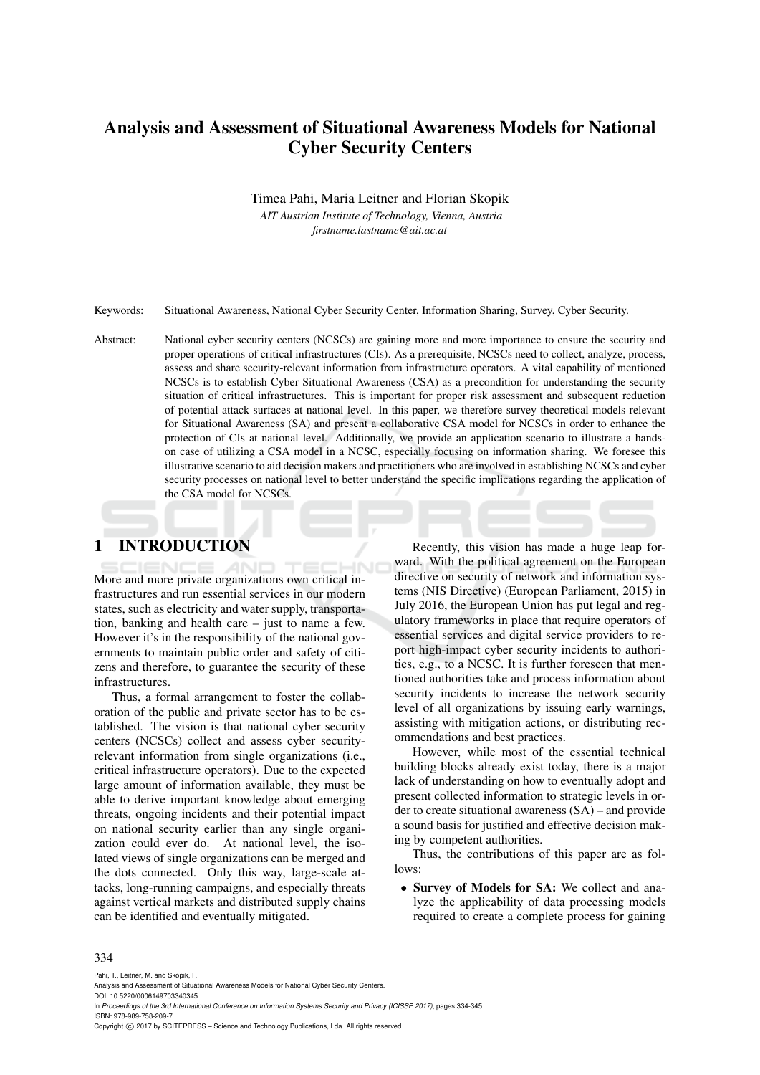# Analysis and Assessment of Situational Awareness Models for National Cyber Security Centers

Timea Pahi, Maria Leitner and Florian Skopik

*AIT Austrian Institute of Technology, Vienna, Austria firstname.lastname@ait.ac.at*

Keywords: Situational Awareness, National Cyber Security Center, Information Sharing, Survey, Cyber Security.

Abstract: National cyber security centers (NCSCs) are gaining more and more importance to ensure the security and proper operations of critical infrastructures (CIs). As a prerequisite, NCSCs need to collect, analyze, process, assess and share security-relevant information from infrastructure operators. A vital capability of mentioned NCSCs is to establish Cyber Situational Awareness (CSA) as a precondition for understanding the security situation of critical infrastructures. This is important for proper risk assessment and subsequent reduction of potential attack surfaces at national level. In this paper, we therefore survey theoretical models relevant for Situational Awareness (SA) and present a collaborative CSA model for NCSCs in order to enhance the protection of CIs at national level. Additionally, we provide an application scenario to illustrate a handson case of utilizing a CSA model in a NCSC, especially focusing on information sharing. We foresee this illustrative scenario to aid decision makers and practitioners who are involved in establishing NCSCs and cyber security processes on national level to better understand the specific implications regarding the application of the CSA model for NCSCs.

# 1 INTRODUCTION

More and more private organizations own critical infrastructures and run essential services in our modern states, such as electricity and water supply, transportation, banking and health care – just to name a few. However it's in the responsibility of the national governments to maintain public order and safety of citizens and therefore, to guarantee the security of these infrastructures.

Thus, a formal arrangement to foster the collaboration of the public and private sector has to be established. The vision is that national cyber security centers (NCSCs) collect and assess cyber securityrelevant information from single organizations (i.e., critical infrastructure operators). Due to the expected large amount of information available, they must be able to derive important knowledge about emerging threats, ongoing incidents and their potential impact on national security earlier than any single organization could ever do. At national level, the isolated views of single organizations can be merged and the dots connected. Only this way, large-scale attacks, long-running campaigns, and especially threats against vertical markets and distributed supply chains can be identified and eventually mitigated.

Recently, this vision has made a huge leap forward. With the political agreement on the European directive on security of network and information systems (NIS Directive) (European Parliament, 2015) in July 2016, the European Union has put legal and regulatory frameworks in place that require operators of essential services and digital service providers to report high-impact cyber security incidents to authorities, e.g., to a NCSC. It is further foreseen that mentioned authorities take and process information about security incidents to increase the network security level of all organizations by issuing early warnings, assisting with mitigation actions, or distributing recommendations and best practices.

However, while most of the essential technical building blocks already exist today, there is a major lack of understanding on how to eventually adopt and present collected information to strategic levels in order to create situational awareness (SA) – and provide a sound basis for justified and effective decision making by competent authorities.

Thus, the contributions of this paper are as follows:

• Survey of Models for SA: We collect and analyze the applicability of data processing models required to create a complete process for gaining

#### 334

Pahi, T., Leitner, M. and Skopik, F.

In *Proceedings of the 3rd International Conference on Information Systems Security and Privacy (ICISSP 2017)*, pages 334-345 ISBN: 978-989-758-209-7

Copyright (C) 2017 by SCITEPRESS - Science and Technology Publications, Lda. All rights reserved

Analysis and Assessment of Situational Awareness Models for National Cyber Security Centers. DOI: 10.5220/0006149703340345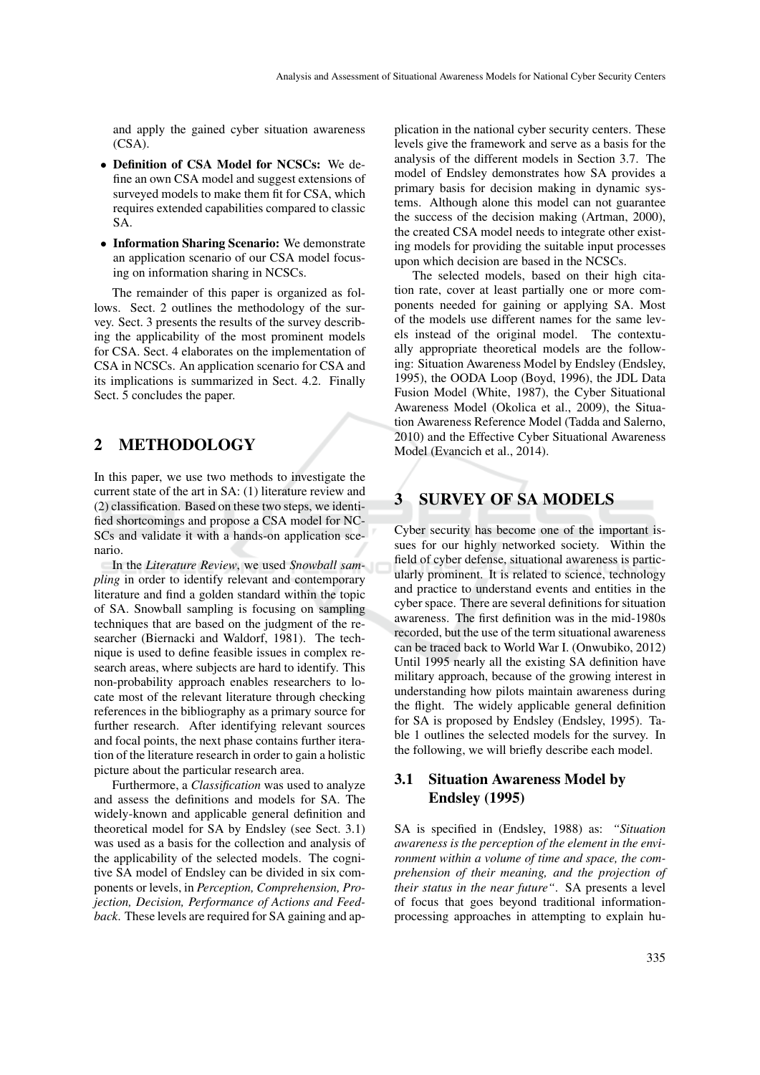and apply the gained cyber situation awareness (CSA).

- Definition of CSA Model for NCSCs: We define an own CSA model and suggest extensions of surveyed models to make them fit for CSA, which requires extended capabilities compared to classic SA.
- Information Sharing Scenario: We demonstrate an application scenario of our CSA model focusing on information sharing in NCSCs.

The remainder of this paper is organized as follows. Sect. 2 outlines the methodology of the survey. Sect. 3 presents the results of the survey describing the applicability of the most prominent models for CSA. Sect. 4 elaborates on the implementation of CSA in NCSCs. An application scenario for CSA and its implications is summarized in Sect. 4.2. Finally Sect. 5 concludes the paper.

# 2 METHODOLOGY

In this paper, we use two methods to investigate the current state of the art in SA: (1) literature review and (2) classification. Based on these two steps, we identified shortcomings and propose a CSA model for NC-SCs and validate it with a hands-on application scenario.

In the *Literature Review*, we used *Snowball sampling* in order to identify relevant and contemporary literature and find a golden standard within the topic of SA. Snowball sampling is focusing on sampling techniques that are based on the judgment of the researcher (Biernacki and Waldorf, 1981). The technique is used to define feasible issues in complex research areas, where subjects are hard to identify. This non-probability approach enables researchers to locate most of the relevant literature through checking references in the bibliography as a primary source for further research. After identifying relevant sources and focal points, the next phase contains further iteration of the literature research in order to gain a holistic picture about the particular research area.

Furthermore, a *Classification* was used to analyze and assess the definitions and models for SA. The widely-known and applicable general definition and theoretical model for SA by Endsley (see Sect. 3.1) was used as a basis for the collection and analysis of the applicability of the selected models. The cognitive SA model of Endsley can be divided in six components or levels, in *Perception, Comprehension, Projection, Decision, Performance of Actions and Feedback*. These levels are required for SA gaining and ap-

plication in the national cyber security centers. These levels give the framework and serve as a basis for the analysis of the different models in Section 3.7. The model of Endsley demonstrates how SA provides a primary basis for decision making in dynamic systems. Although alone this model can not guarantee the success of the decision making (Artman, 2000), the created CSA model needs to integrate other existing models for providing the suitable input processes upon which decision are based in the NCSCs.

The selected models, based on their high citation rate, cover at least partially one or more components needed for gaining or applying SA. Most of the models use different names for the same levels instead of the original model. The contextually appropriate theoretical models are the following: Situation Awareness Model by Endsley (Endsley, 1995), the OODA Loop (Boyd, 1996), the JDL Data Fusion Model (White, 1987), the Cyber Situational Awareness Model (Okolica et al., 2009), the Situation Awareness Reference Model (Tadda and Salerno, 2010) and the Effective Cyber Situational Awareness Model (Evancich et al., 2014).

# 3 SURVEY OF SA MODELS

Cyber security has become one of the important issues for our highly networked society. Within the field of cyber defense, situational awareness is particularly prominent. It is related to science, technology and practice to understand events and entities in the cyber space. There are several definitions for situation awareness. The first definition was in the mid-1980s recorded, but the use of the term situational awareness can be traced back to World War I. (Onwubiko, 2012) Until 1995 nearly all the existing SA definition have military approach, because of the growing interest in understanding how pilots maintain awareness during the flight. The widely applicable general definition for SA is proposed by Endsley (Endsley, 1995). Table 1 outlines the selected models for the survey. In the following, we will briefly describe each model.

## 3.1 Situation Awareness Model by Endsley (1995)

SA is specified in (Endsley, 1988) as: *"Situation awareness is the perception of the element in the environment within a volume of time and space, the comprehension of their meaning, and the projection of their status in the near future"*. SA presents a level of focus that goes beyond traditional informationprocessing approaches in attempting to explain hu-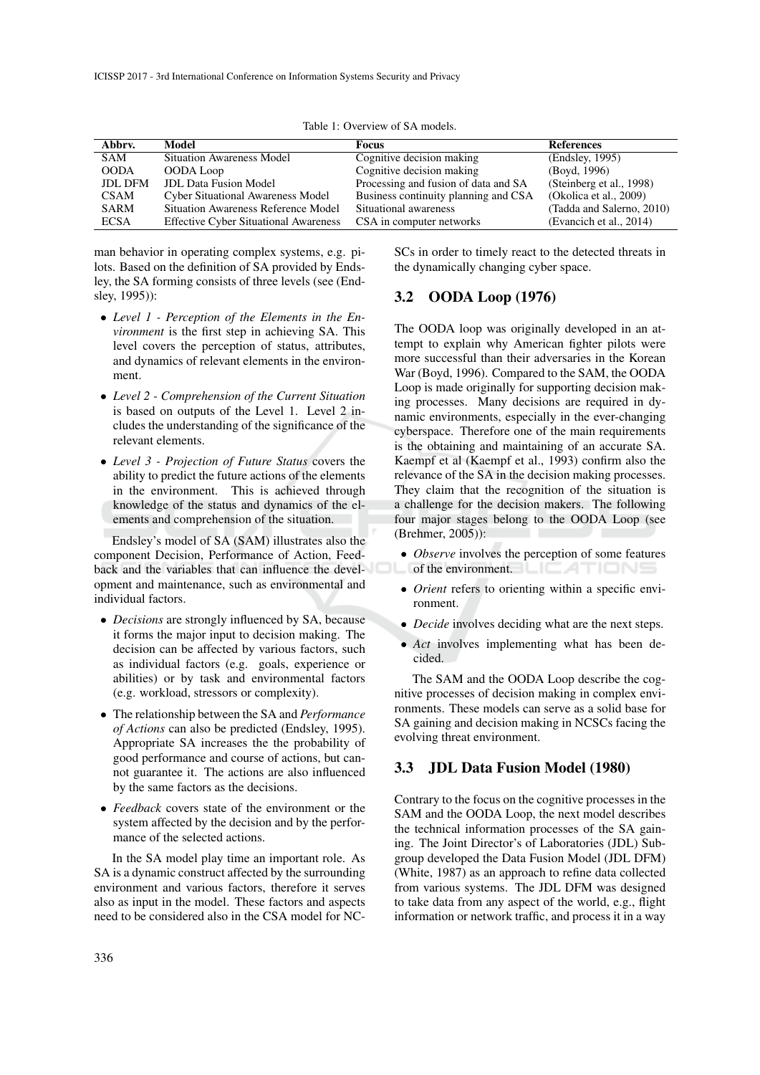| Abbry.         | Model                                        | Focus                                | <b>References</b>         |
|----------------|----------------------------------------------|--------------------------------------|---------------------------|
| <b>SAM</b>     | <b>Situation Awareness Model</b>             | Cognitive decision making            | (Endsley, 1995)           |
| <b>OODA</b>    | OODA Loop                                    | Cognitive decision making            | (Boyd, 1996)              |
| <b>JDL DFM</b> | <b>JDL</b> Data Fusion Model                 | Processing and fusion of data and SA | (Steinberg et al., 1998)  |
| <b>CSAM</b>    | <b>Cyber Situational Awareness Model</b>     | Business continuity planning and CSA | (Okolica et al., $2009$ ) |
| <b>SARM</b>    | Situation Awareness Reference Model          | Situational awareness                | (Tadda and Salerno, 2010) |
| <b>ECSA</b>    | <b>Effective Cyber Situational Awareness</b> | CSA in computer networks             | (Evancich et al., 2014)   |

Table 1: Overview of SA models.

man behavior in operating complex systems, e.g. pilots. Based on the definition of SA provided by Endsley, the SA forming consists of three levels (see (Endsley, 1995)):

- *Level 1 Perception of the Elements in the Environment* is the first step in achieving SA. This level covers the perception of status, attributes, and dynamics of relevant elements in the environment.
- *Level 2 Comprehension of the Current Situation* is based on outputs of the Level 1. Level 2 includes the understanding of the significance of the relevant elements.
- *Level 3 Projection of Future Status* covers the ability to predict the future actions of the elements in the environment. This is achieved through knowledge of the status and dynamics of the elements and comprehension of the situation.

Endsley's model of SA (SAM) illustrates also the component Decision, Performance of Action, Feedback and the variables that can influence the development and maintenance, such as environmental and individual factors.

- *Decisions* are strongly influenced by SA, because it forms the major input to decision making. The decision can be affected by various factors, such as individual factors (e.g. goals, experience or abilities) or by task and environmental factors (e.g. workload, stressors or complexity).
- The relationship between the SA and *Performance of Actions* can also be predicted (Endsley, 1995). Appropriate SA increases the the probability of good performance and course of actions, but cannot guarantee it. The actions are also influenced by the same factors as the decisions.
- *Feedback* covers state of the environment or the system affected by the decision and by the performance of the selected actions.

In the SA model play time an important role. As SA is a dynamic construct affected by the surrounding environment and various factors, therefore it serves also as input in the model. These factors and aspects need to be considered also in the CSA model for NC-

SCs in order to timely react to the detected threats in the dynamically changing cyber space.

### 3.2 OODA Loop (1976)

The OODA loop was originally developed in an attempt to explain why American fighter pilots were more successful than their adversaries in the Korean War (Boyd, 1996). Compared to the SAM, the OODA Loop is made originally for supporting decision making processes. Many decisions are required in dynamic environments, especially in the ever-changing cyberspace. Therefore one of the main requirements is the obtaining and maintaining of an accurate SA. Kaempf et al (Kaempf et al., 1993) confirm also the relevance of the SA in the decision making processes. They claim that the recognition of the situation is a challenge for the decision makers. The following four major stages belong to the OODA Loop (see (Brehmer, 2005)):

- *Observe* involves the perception of some features of the environment.
- *Orient* refers to orienting within a specific environment.
- *Decide* involves deciding what are the next steps.
- *Act* involves implementing what has been decided.

The SAM and the OODA Loop describe the cognitive processes of decision making in complex environments. These models can serve as a solid base for SA gaining and decision making in NCSCs facing the evolving threat environment.

#### 3.3 JDL Data Fusion Model (1980)

Contrary to the focus on the cognitive processes in the SAM and the OODA Loop, the next model describes the technical information processes of the SA gaining. The Joint Director's of Laboratories (JDL) Subgroup developed the Data Fusion Model (JDL DFM) (White, 1987) as an approach to refine data collected from various systems. The JDL DFM was designed to take data from any aspect of the world, e.g., flight information or network traffic, and process it in a way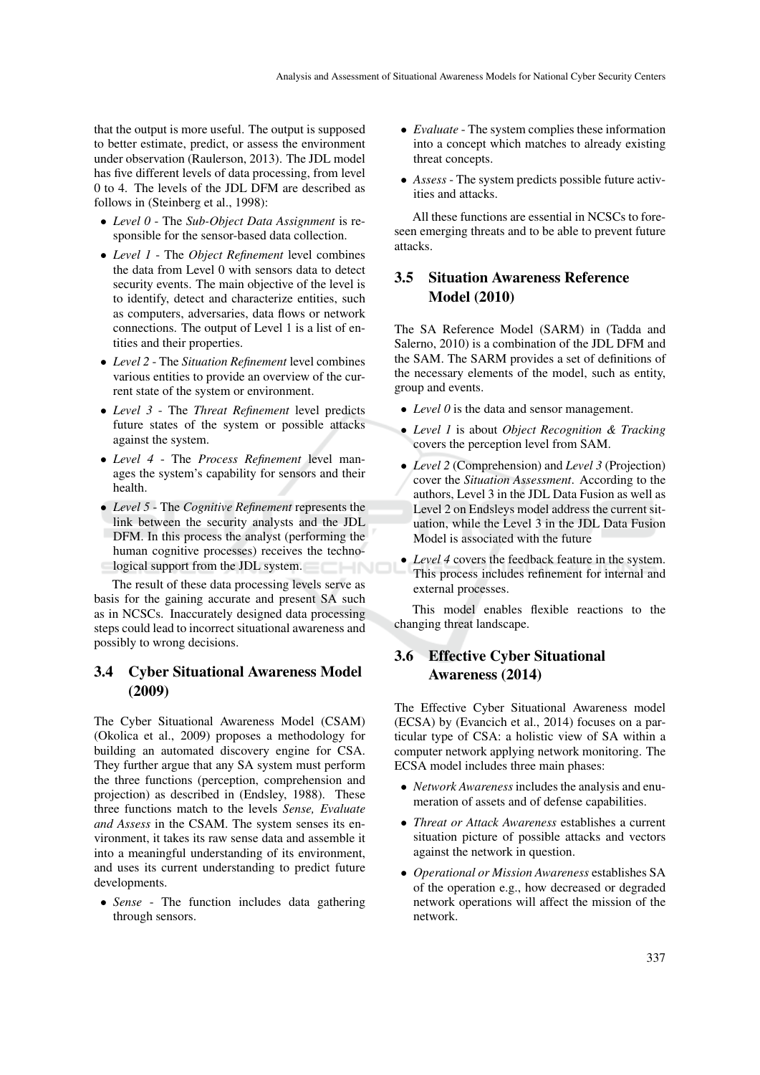that the output is more useful. The output is supposed to better estimate, predict, or assess the environment under observation (Raulerson, 2013). The JDL model has five different levels of data processing, from level 0 to 4. The levels of the JDL DFM are described as follows in (Steinberg et al., 1998):

- *Level 0* The *Sub-Object Data Assignment* is responsible for the sensor-based data collection.
- *Level 1* The *Object Refinement* level combines the data from Level 0 with sensors data to detect security events. The main objective of the level is to identify, detect and characterize entities, such as computers, adversaries, data flows or network connections. The output of Level 1 is a list of entities and their properties.
- *Level 2* The *Situation Refinement* level combines various entities to provide an overview of the current state of the system or environment.
- *Level 3* The *Threat Refinement* level predicts future states of the system or possible attacks against the system.
- *Level 4* The *Process Refinement* level manages the system's capability for sensors and their health.
- *Level 5* The *Cognitive Refinement* represents the link between the security analysts and the JDL DFM. In this process the analyst (performing the human cognitive processes) receives the technological support from the JDL system.

The result of these data processing levels serve as basis for the gaining accurate and present SA such as in NCSCs. Inaccurately designed data processing steps could lead to incorrect situational awareness and possibly to wrong decisions.

## 3.4 Cyber Situational Awareness Model (2009)

The Cyber Situational Awareness Model (CSAM) (Okolica et al., 2009) proposes a methodology for building an automated discovery engine for CSA. They further argue that any SA system must perform the three functions (perception, comprehension and projection) as described in (Endsley, 1988). These three functions match to the levels *Sense, Evaluate and Assess* in the CSAM. The system senses its environment, it takes its raw sense data and assemble it into a meaningful understanding of its environment, and uses its current understanding to predict future developments.

• *Sense* - The function includes data gathering through sensors.

- *Evaluate* The system complies these information into a concept which matches to already existing threat concepts.
- *Assess* The system predicts possible future activities and attacks.

All these functions are essential in NCSCs to foreseen emerging threats and to be able to prevent future attacks.

## 3.5 Situation Awareness Reference Model (2010)

The SA Reference Model (SARM) in (Tadda and Salerno, 2010) is a combination of the JDL DFM and the SAM. The SARM provides a set of definitions of the necessary elements of the model, such as entity, group and events.

- *Level 0* is the data and sensor management.
- *Level 1* is about *Object Recognition & Tracking* covers the perception level from SAM.
- *Level 2* (Comprehension) and *Level 3* (Projection) cover the *Situation Assessment*. According to the authors, Level 3 in the JDL Data Fusion as well as Level 2 on Endsleys model address the current situation, while the Level 3 in the JDL Data Fusion Model is associated with the future
- *Level 4* covers the feedback feature in the system. This process includes refinement for internal and external processes.

This model enables flexible reactions to the changing threat landscape.

# 3.6 Effective Cyber Situational Awareness (2014)

The Effective Cyber Situational Awareness model (ECSA) by (Evancich et al., 2014) focuses on a particular type of CSA: a holistic view of SA within a computer network applying network monitoring. The ECSA model includes three main phases:

- *Network Awareness* includes the analysis and enumeration of assets and of defense capabilities.
- *Threat or Attack Awareness* establishes a current situation picture of possible attacks and vectors against the network in question.
- *Operational or Mission Awareness* establishes SA of the operation e.g., how decreased or degraded network operations will affect the mission of the network.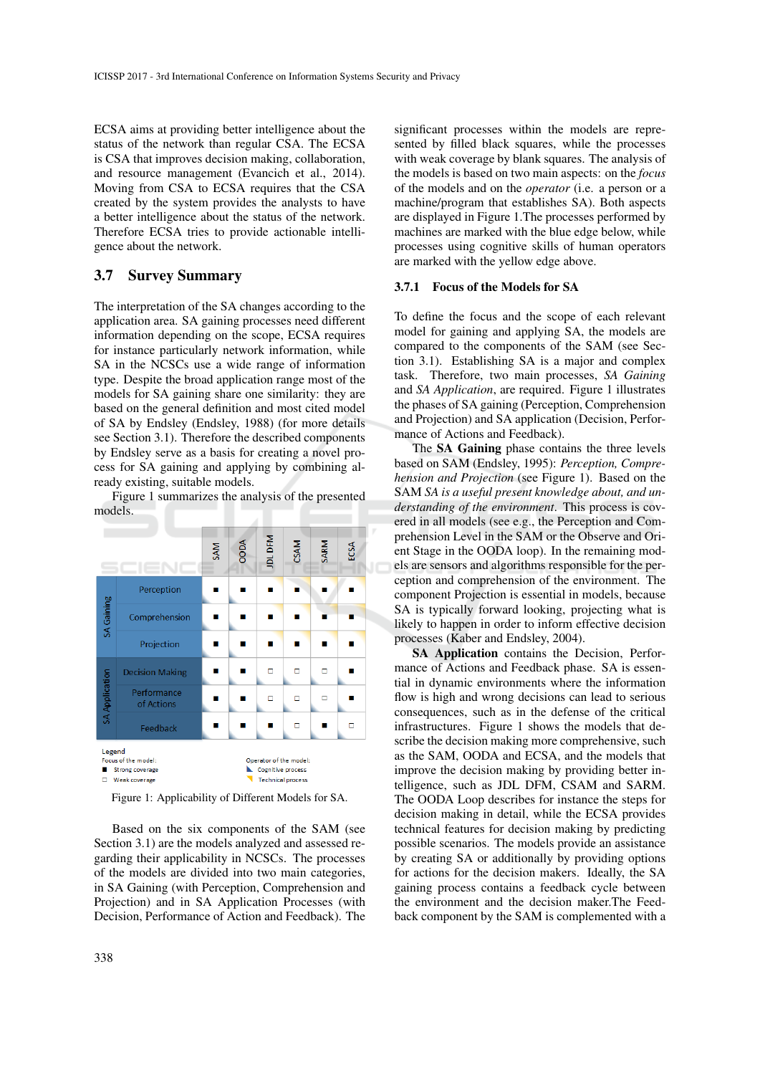ECSA aims at providing better intelligence about the status of the network than regular CSA. The ECSA is CSA that improves decision making, collaboration, and resource management (Evancich et al., 2014). Moving from CSA to ECSA requires that the CSA created by the system provides the analysts to have a better intelligence about the status of the network. Therefore ECSA tries to provide actionable intelligence about the network.

### 3.7 Survey Summary

The interpretation of the SA changes according to the application area. SA gaining processes need different information depending on the scope, ECSA requires for instance particularly network information, while SA in the NCSCs use a wide range of information type. Despite the broad application range most of the models for SA gaining share one similarity: they are based on the general definition and most cited model of SA by Endsley (Endsley, 1988) (for more details see Section 3.1). Therefore the described components by Endsley serve as a basis for creating a novel process for SA gaining and applying by combining already existing, suitable models.

Figure 1 summarizes the analysis of the presented models.



Figure 1: Applicability of Different Models for SA.

Based on the six components of the SAM (see Section 3.1) are the models analyzed and assessed regarding their applicability in NCSCs. The processes of the models are divided into two main categories, in SA Gaining (with Perception, Comprehension and Projection) and in SA Application Processes (with Decision, Performance of Action and Feedback). The

significant processes within the models are represented by filled black squares, while the processes with weak coverage by blank squares. The analysis of the models is based on two main aspects: on the *focus* of the models and on the *operator* (i.e. a person or a machine/program that establishes SA). Both aspects are displayed in Figure 1.The processes performed by machines are marked with the blue edge below, while processes using cognitive skills of human operators are marked with the yellow edge above.

#### 3.7.1 Focus of the Models for SA

To define the focus and the scope of each relevant model for gaining and applying SA, the models are compared to the components of the SAM (see Section 3.1). Establishing SA is a major and complex task. Therefore, two main processes, *SA Gaining* and *SA Application*, are required. Figure 1 illustrates the phases of SA gaining (Perception, Comprehension and Projection) and SA application (Decision, Performance of Actions and Feedback).

The SA Gaining phase contains the three levels based on SAM (Endsley, 1995): *Perception, Comprehension and Projection* (see Figure 1). Based on the SAM *SA is a useful present knowledge about, and understanding of the environment*. This process is covered in all models (see e.g., the Perception and Comprehension Level in the SAM or the Observe and Orient Stage in the OODA loop). In the remaining models are sensors and algorithms responsible for the perception and comprehension of the environment. The component Projection is essential in models, because SA is typically forward looking, projecting what is likely to happen in order to inform effective decision processes (Kaber and Endsley, 2004).

SA Application contains the Decision, Performance of Actions and Feedback phase. SA is essential in dynamic environments where the information flow is high and wrong decisions can lead to serious consequences, such as in the defense of the critical infrastructures. Figure 1 shows the models that describe the decision making more comprehensive, such as the SAM, OODA and ECSA, and the models that improve the decision making by providing better intelligence, such as JDL DFM, CSAM and SARM. The OODA Loop describes for instance the steps for decision making in detail, while the ECSA provides technical features for decision making by predicting possible scenarios. The models provide an assistance by creating SA or additionally by providing options for actions for the decision makers. Ideally, the SA gaining process contains a feedback cycle between the environment and the decision maker.The Feedback component by the SAM is complemented with a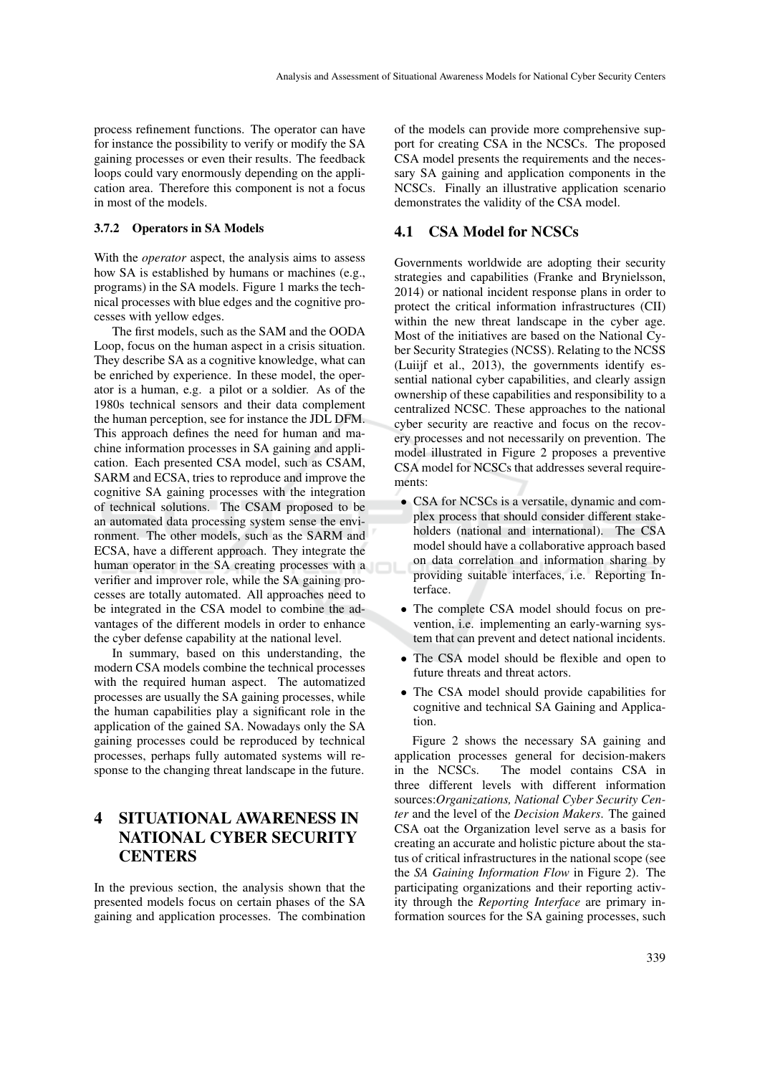process refinement functions. The operator can have for instance the possibility to verify or modify the SA gaining processes or even their results. The feedback loops could vary enormously depending on the application area. Therefore this component is not a focus in most of the models.

#### 3.7.2 Operators in SA Models

With the *operator* aspect, the analysis aims to assess how SA is established by humans or machines (e.g., programs) in the SA models. Figure 1 marks the technical processes with blue edges and the cognitive processes with yellow edges.

The first models, such as the SAM and the OODA Loop, focus on the human aspect in a crisis situation. They describe SA as a cognitive knowledge, what can be enriched by experience. In these model, the operator is a human, e.g. a pilot or a soldier. As of the 1980s technical sensors and their data complement the human perception, see for instance the JDL DFM. This approach defines the need for human and machine information processes in SA gaining and application. Each presented CSA model, such as CSAM, SARM and ECSA, tries to reproduce and improve the cognitive SA gaining processes with the integration of technical solutions. The CSAM proposed to be an automated data processing system sense the environment. The other models, such as the SARM and ECSA, have a different approach. They integrate the human operator in the SA creating processes with a verifier and improver role, while the SA gaining processes are totally automated. All approaches need to be integrated in the CSA model to combine the advantages of the different models in order to enhance the cyber defense capability at the national level.

In summary, based on this understanding, the modern CSA models combine the technical processes with the required human aspect. The automatized processes are usually the SA gaining processes, while the human capabilities play a significant role in the application of the gained SA. Nowadays only the SA gaining processes could be reproduced by technical processes, perhaps fully automated systems will response to the changing threat landscape in the future.

# 4 SITUATIONAL AWARENESS IN NATIONAL CYBER SECURITY **CENTERS**

In the previous section, the analysis shown that the presented models focus on certain phases of the SA gaining and application processes. The combination of the models can provide more comprehensive support for creating CSA in the NCSCs. The proposed CSA model presents the requirements and the necessary SA gaining and application components in the NCSCs. Finally an illustrative application scenario demonstrates the validity of the CSA model.

### 4.1 CSA Model for NCSCs

Governments worldwide are adopting their security strategies and capabilities (Franke and Brynielsson, 2014) or national incident response plans in order to protect the critical information infrastructures (CII) within the new threat landscape in the cyber age. Most of the initiatives are based on the National Cyber Security Strategies (NCSS). Relating to the NCSS (Luiijf et al., 2013), the governments identify essential national cyber capabilities, and clearly assign ownership of these capabilities and responsibility to a centralized NCSC. These approaches to the national cyber security are reactive and focus on the recovery processes and not necessarily on prevention. The model illustrated in Figure 2 proposes a preventive CSA model for NCSCs that addresses several requirements:

- CSA for NCSCs is a versatile, dynamic and complex process that should consider different stakeholders (national and international). The CSA model should have a collaborative approach based on data correlation and information sharing by providing suitable interfaces, i.e. Reporting Interface.
- The complete CSA model should focus on prevention, i.e. implementing an early-warning system that can prevent and detect national incidents.
- The CSA model should be flexible and open to future threats and threat actors.
- The CSA model should provide capabilities for cognitive and technical SA Gaining and Application.

Figure 2 shows the necessary SA gaining and application processes general for decision-makers in the NCSCs. The model contains CSA in three different levels with different information sources:*Organizations, National Cyber Security Center* and the level of the *Decision Makers*. The gained CSA oat the Organization level serve as a basis for creating an accurate and holistic picture about the status of critical infrastructures in the national scope (see the *SA Gaining Information Flow* in Figure 2). The participating organizations and their reporting activity through the *Reporting Interface* are primary information sources for the SA gaining processes, such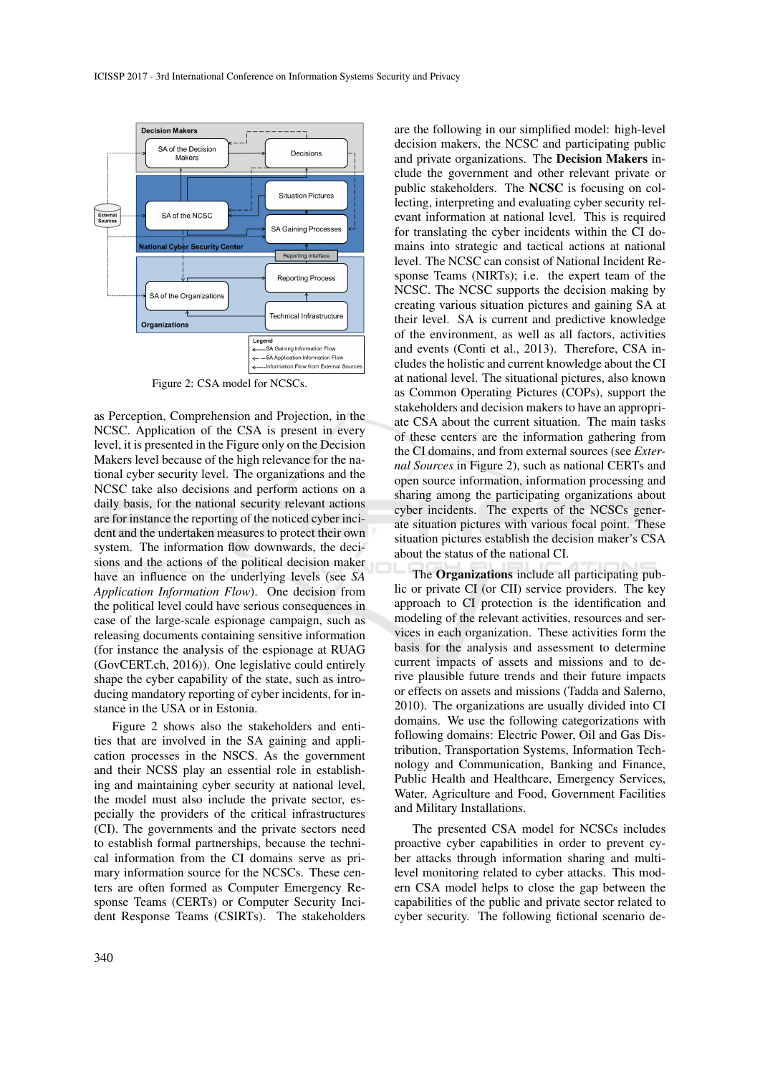

Figure 2: CSA model for NCSCs.

as Perception, Comprehension and Projection, in the NCSC. Application of the CSA is present in every level, it is presented in the Figure only on the Decision Makers level because of the high relevance for the national cyber security level. The organizations and the NCSC take also decisions and perform actions on a daily basis, for the national security relevant actions are for instance the reporting of the noticed cyber incident and the undertaken measures to protect their own system. The information flow downwards, the decisions and the actions of the political decision maker have an influence on the underlying levels (see *SA Application Information Flow*). One decision from the political level could have serious consequences in case of the large-scale espionage campaign, such as releasing documents containing sensitive information (for instance the analysis of the espionage at RUAG (GovCERT.ch, 2016)). One legislative could entirely shape the cyber capability of the state, such as introducing mandatory reporting of cyber incidents, for instance in the USA or in Estonia.

Figure 2 shows also the stakeholders and entities that are involved in the SA gaining and application processes in the NSCS. As the government and their NCSS play an essential role in establishing and maintaining cyber security at national level, the model must also include the private sector, especially the providers of the critical infrastructures (CI). The governments and the private sectors need to establish formal partnerships, because the technical information from the CI domains serve as primary information source for the NCSCs. These centers are often formed as Computer Emergency Response Teams (CERTs) or Computer Security Incident Response Teams (CSIRTs). The stakeholders

are the following in our simplified model: high-level decision makers, the NCSC and participating public and private organizations. The Decision Makers include the government and other relevant private or public stakeholders. The NCSC is focusing on collecting, interpreting and evaluating cyber security relevant information at national level. This is required for translating the cyber incidents within the CI domains into strategic and tactical actions at national level. The NCSC can consist of National Incident Response Teams (NIRTs); i.e. the expert team of the NCSC. The NCSC supports the decision making by creating various situation pictures and gaining SA at their level. SA is current and predictive knowledge of the environment, as well as all factors, activities and events (Conti et al., 2013). Therefore, CSA includes the holistic and current knowledge about the CI at national level. The situational pictures, also known as Common Operating Pictures (COPs), support the stakeholders and decision makers to have an appropriate CSA about the current situation. The main tasks of these centers are the information gathering from the CI domains, and from external sources (see *External Sources* in Figure 2), such as national CERTs and open source information, information processing and sharing among the participating organizations about cyber incidents. The experts of the NCSCs generate situation pictures with various focal point. These situation pictures establish the decision maker's CSA about the status of the national CI.

The Organizations include all participating public or private CI (or CII) service providers. The key approach to CI protection is the identification and modeling of the relevant activities, resources and services in each organization. These activities form the basis for the analysis and assessment to determine current impacts of assets and missions and to derive plausible future trends and their future impacts or effects on assets and missions (Tadda and Salerno, 2010). The organizations are usually divided into CI domains. We use the following categorizations with following domains: Electric Power, Oil and Gas Distribution, Transportation Systems, Information Technology and Communication, Banking and Finance, Public Health and Healthcare, Emergency Services, Water, Agriculture and Food, Government Facilities and Military Installations.

The presented CSA model for NCSCs includes proactive cyber capabilities in order to prevent cyber attacks through information sharing and multilevel monitoring related to cyber attacks. This modern CSA model helps to close the gap between the capabilities of the public and private sector related to cyber security. The following fictional scenario de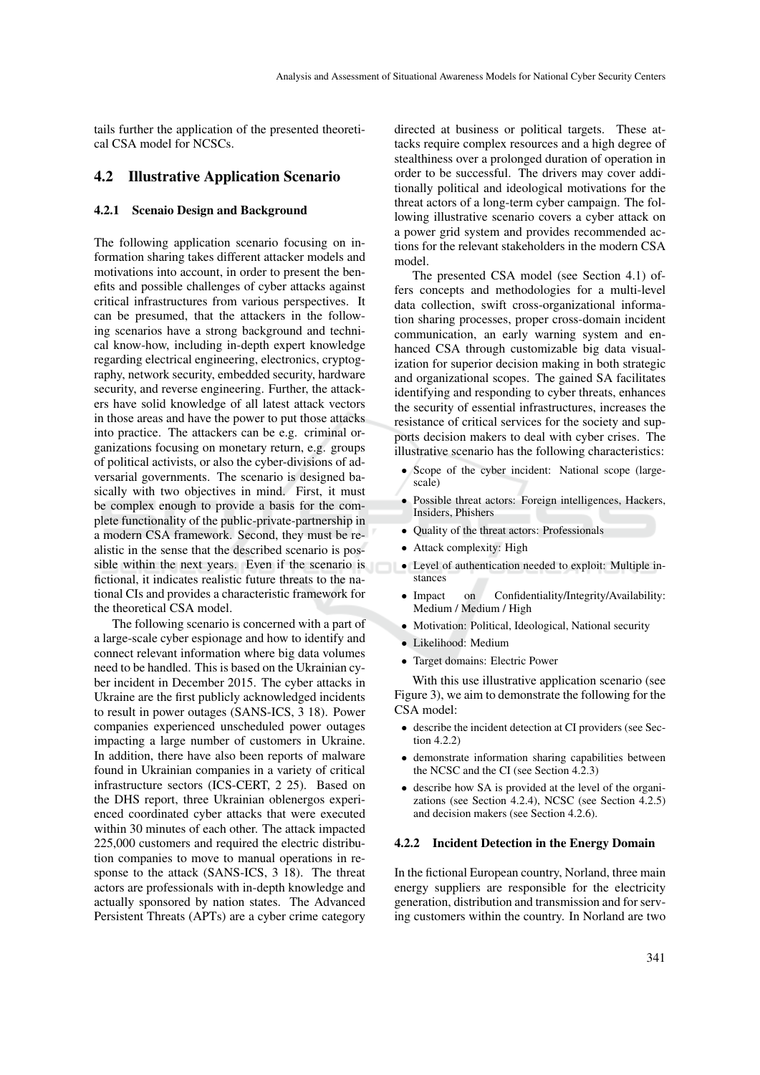tails further the application of the presented theoretical CSA model for NCSCs.

### 4.2 Illustrative Application Scenario

#### 4.2.1 Scenaio Design and Background

The following application scenario focusing on information sharing takes different attacker models and motivations into account, in order to present the benefits and possible challenges of cyber attacks against critical infrastructures from various perspectives. It can be presumed, that the attackers in the following scenarios have a strong background and technical know-how, including in-depth expert knowledge regarding electrical engineering, electronics, cryptography, network security, embedded security, hardware security, and reverse engineering. Further, the attackers have solid knowledge of all latest attack vectors in those areas and have the power to put those attacks into practice. The attackers can be e.g. criminal organizations focusing on monetary return, e.g. groups of political activists, or also the cyber-divisions of adversarial governments. The scenario is designed basically with two objectives in mind. First, it must be complex enough to provide a basis for the complete functionality of the public-private-partnership in a modern CSA framework. Second, they must be realistic in the sense that the described scenario is possible within the next years. Even if the scenario is **•** Level of authentication needed to exploit: Multiple infictional, it indicates realistic future threats to the national CIs and provides a characteristic framework for the theoretical CSA model.

The following scenario is concerned with a part of a large-scale cyber espionage and how to identify and connect relevant information where big data volumes need to be handled. This is based on the Ukrainian cyber incident in December 2015. The cyber attacks in Ukraine are the first publicly acknowledged incidents to result in power outages (SANS-ICS, 3 18). Power companies experienced unscheduled power outages impacting a large number of customers in Ukraine. In addition, there have also been reports of malware found in Ukrainian companies in a variety of critical infrastructure sectors (ICS-CERT, 2 25). Based on the DHS report, three Ukrainian oblenergos experienced coordinated cyber attacks that were executed within 30 minutes of each other. The attack impacted 225,000 customers and required the electric distribution companies to move to manual operations in response to the attack (SANS-ICS, 3 18). The threat actors are professionals with in-depth knowledge and actually sponsored by nation states. The Advanced Persistent Threats (APTs) are a cyber crime category

directed at business or political targets. These attacks require complex resources and a high degree of stealthiness over a prolonged duration of operation in order to be successful. The drivers may cover additionally political and ideological motivations for the threat actors of a long-term cyber campaign. The following illustrative scenario covers a cyber attack on a power grid system and provides recommended actions for the relevant stakeholders in the modern CSA model.

The presented CSA model (see Section 4.1) offers concepts and methodologies for a multi-level data collection, swift cross-organizational information sharing processes, proper cross-domain incident communication, an early warning system and enhanced CSA through customizable big data visualization for superior decision making in both strategic and organizational scopes. The gained SA facilitates identifying and responding to cyber threats, enhances the security of essential infrastructures, increases the resistance of critical services for the society and supports decision makers to deal with cyber crises. The illustrative scenario has the following characteristics:

- Scope of the cyber incident: National scope (largescale)
- Possible threat actors: Foreign intelligences, Hackers, Insiders, Phishers
- Quality of the threat actors: Professionals
- Attack complexity: High
- stances
- Impact on Confidentiality/Integrity/Availability: Medium / Medium / High
- Motivation: Political, Ideological, National security
- Likelihood: Medium
- Target domains: Electric Power

With this use illustrative application scenario (see Figure 3), we aim to demonstrate the following for the CSA model:

- describe the incident detection at CI providers (see Section 4.2.2)
- demonstrate information sharing capabilities between the NCSC and the CI (see Section 4.2.3)
- describe how SA is provided at the level of the organizations (see Section 4.2.4), NCSC (see Section 4.2.5) and decision makers (see Section 4.2.6).

#### 4.2.2 Incident Detection in the Energy Domain

In the fictional European country, Norland, three main energy suppliers are responsible for the electricity generation, distribution and transmission and for serving customers within the country. In Norland are two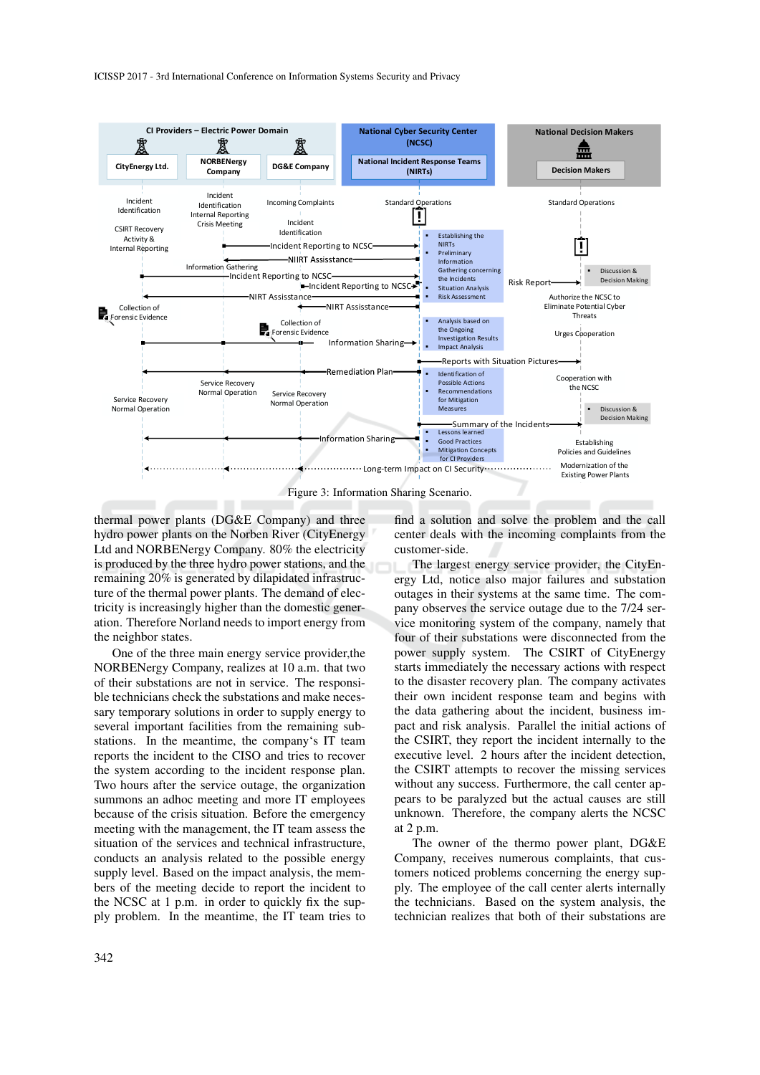ICISSP 2017 - 3rd International Conference on Information Systems Security and Privacy



thermal power plants (DG&E Company) and three hydro power plants on the Norben River (CityEnergy Ltd and NORBENergy Company. 80% the electricity is produced by the three hydro power stations, and the remaining 20% is generated by dilapidated infrastructure of the thermal power plants. The demand of electricity is increasingly higher than the domestic generation. Therefore Norland needs to import energy from the neighbor states.

One of the three main energy service provider,the NORBENergy Company, realizes at 10 a.m. that two of their substations are not in service. The responsible technicians check the substations and make necessary temporary solutions in order to supply energy to several important facilities from the remaining substations. In the meantime, the company's IT team reports the incident to the CISO and tries to recover the system according to the incident response plan. Two hours after the service outage, the organization summons an adhoc meeting and more IT employees because of the crisis situation. Before the emergency meeting with the management, the IT team assess the situation of the services and technical infrastructure, conducts an analysis related to the possible energy supply level. Based on the impact analysis, the members of the meeting decide to report the incident to the NCSC at 1 p.m. in order to quickly fix the supply problem. In the meantime, the IT team tries to

find a solution and solve the problem and the call center deals with the incoming complaints from the customer-side.

The largest energy service provider, the CityEnergy Ltd, notice also major failures and substation outages in their systems at the same time. The company observes the service outage due to the 7/24 service monitoring system of the company, namely that four of their substations were disconnected from the power supply system. The CSIRT of CityEnergy starts immediately the necessary actions with respect to the disaster recovery plan. The company activates their own incident response team and begins with the data gathering about the incident, business impact and risk analysis. Parallel the initial actions of the CSIRT, they report the incident internally to the executive level. 2 hours after the incident detection, the CSIRT attempts to recover the missing services without any success. Furthermore, the call center appears to be paralyzed but the actual causes are still unknown. Therefore, the company alerts the NCSC at 2 p.m.

The owner of the thermo power plant, DG&E Company, receives numerous complaints, that customers noticed problems concerning the energy supply. The employee of the call center alerts internally the technicians. Based on the system analysis, the technician realizes that both of their substations are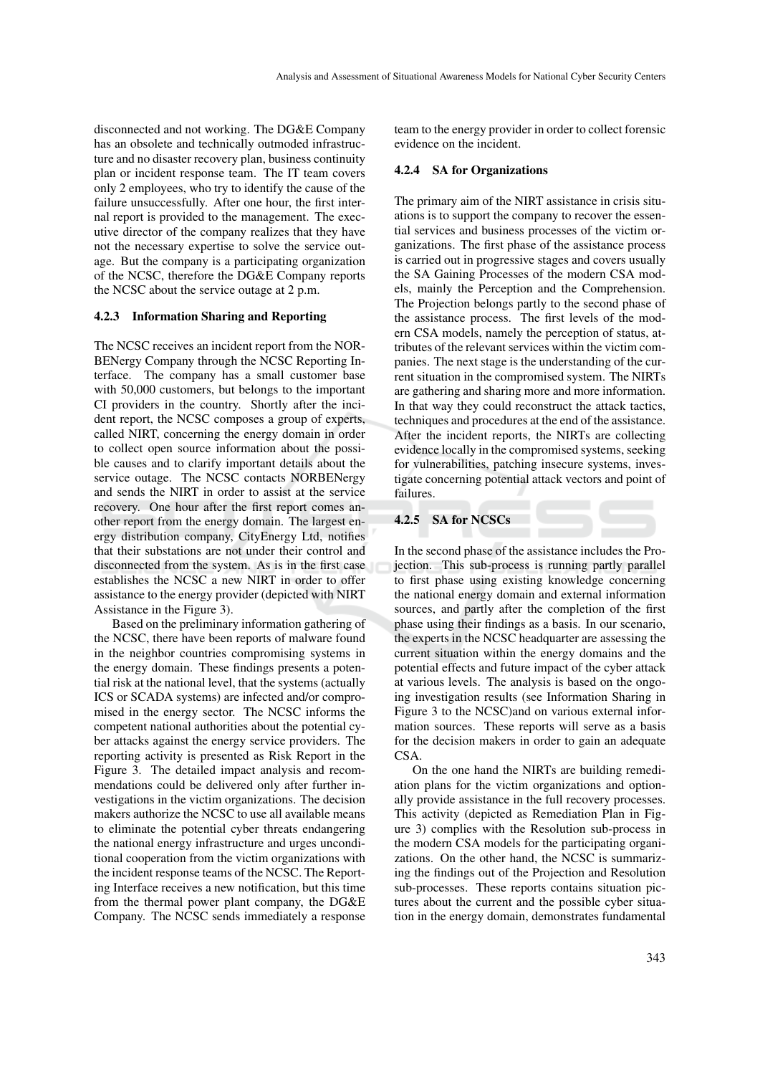disconnected and not working. The DG&E Company has an obsolete and technically outmoded infrastructure and no disaster recovery plan, business continuity plan or incident response team. The IT team covers only 2 employees, who try to identify the cause of the failure unsuccessfully. After one hour, the first internal report is provided to the management. The executive director of the company realizes that they have not the necessary expertise to solve the service outage. But the company is a participating organization of the NCSC, therefore the DG&E Company reports the NCSC about the service outage at 2 p.m.

#### 4.2.3 Information Sharing and Reporting

The NCSC receives an incident report from the NOR-BENergy Company through the NCSC Reporting Interface. The company has a small customer base with 50,000 customers, but belongs to the important CI providers in the country. Shortly after the incident report, the NCSC composes a group of experts, called NIRT, concerning the energy domain in order to collect open source information about the possible causes and to clarify important details about the service outage. The NCSC contacts NORBENergy and sends the NIRT in order to assist at the service recovery. One hour after the first report comes another report from the energy domain. The largest energy distribution company, CityEnergy Ltd, notifies that their substations are not under their control and disconnected from the system. As is in the first case establishes the NCSC a new NIRT in order to offer assistance to the energy provider (depicted with NIRT Assistance in the Figure 3).

Based on the preliminary information gathering of the NCSC, there have been reports of malware found in the neighbor countries compromising systems in the energy domain. These findings presents a potential risk at the national level, that the systems (actually ICS or SCADA systems) are infected and/or compromised in the energy sector. The NCSC informs the competent national authorities about the potential cyber attacks against the energy service providers. The reporting activity is presented as Risk Report in the Figure 3. The detailed impact analysis and recommendations could be delivered only after further investigations in the victim organizations. The decision makers authorize the NCSC to use all available means to eliminate the potential cyber threats endangering the national energy infrastructure and urges unconditional cooperation from the victim organizations with the incident response teams of the NCSC. The Reporting Interface receives a new notification, but this time from the thermal power plant company, the DG&E Company. The NCSC sends immediately a response

team to the energy provider in order to collect forensic evidence on the incident.

#### 4.2.4 SA for Organizations

The primary aim of the NIRT assistance in crisis situations is to support the company to recover the essential services and business processes of the victim organizations. The first phase of the assistance process is carried out in progressive stages and covers usually the SA Gaining Processes of the modern CSA models, mainly the Perception and the Comprehension. The Projection belongs partly to the second phase of the assistance process. The first levels of the modern CSA models, namely the perception of status, attributes of the relevant services within the victim companies. The next stage is the understanding of the current situation in the compromised system. The NIRTs are gathering and sharing more and more information. In that way they could reconstruct the attack tactics, techniques and procedures at the end of the assistance. After the incident reports, the NIRTs are collecting evidence locally in the compromised systems, seeking for vulnerabilities, patching insecure systems, investigate concerning potential attack vectors and point of failures.

#### 4.2.5 SA for NCSCs

In the second phase of the assistance includes the Projection. This sub-process is running partly parallel to first phase using existing knowledge concerning the national energy domain and external information sources, and partly after the completion of the first phase using their findings as a basis. In our scenario, the experts in the NCSC headquarter are assessing the current situation within the energy domains and the potential effects and future impact of the cyber attack at various levels. The analysis is based on the ongoing investigation results (see Information Sharing in Figure 3 to the NCSC)and on various external information sources. These reports will serve as a basis for the decision makers in order to gain an adequate CSA.

On the one hand the NIRTs are building remediation plans for the victim organizations and optionally provide assistance in the full recovery processes. This activity (depicted as Remediation Plan in Figure 3) complies with the Resolution sub-process in the modern CSA models for the participating organizations. On the other hand, the NCSC is summarizing the findings out of the Projection and Resolution sub-processes. These reports contains situation pictures about the current and the possible cyber situation in the energy domain, demonstrates fundamental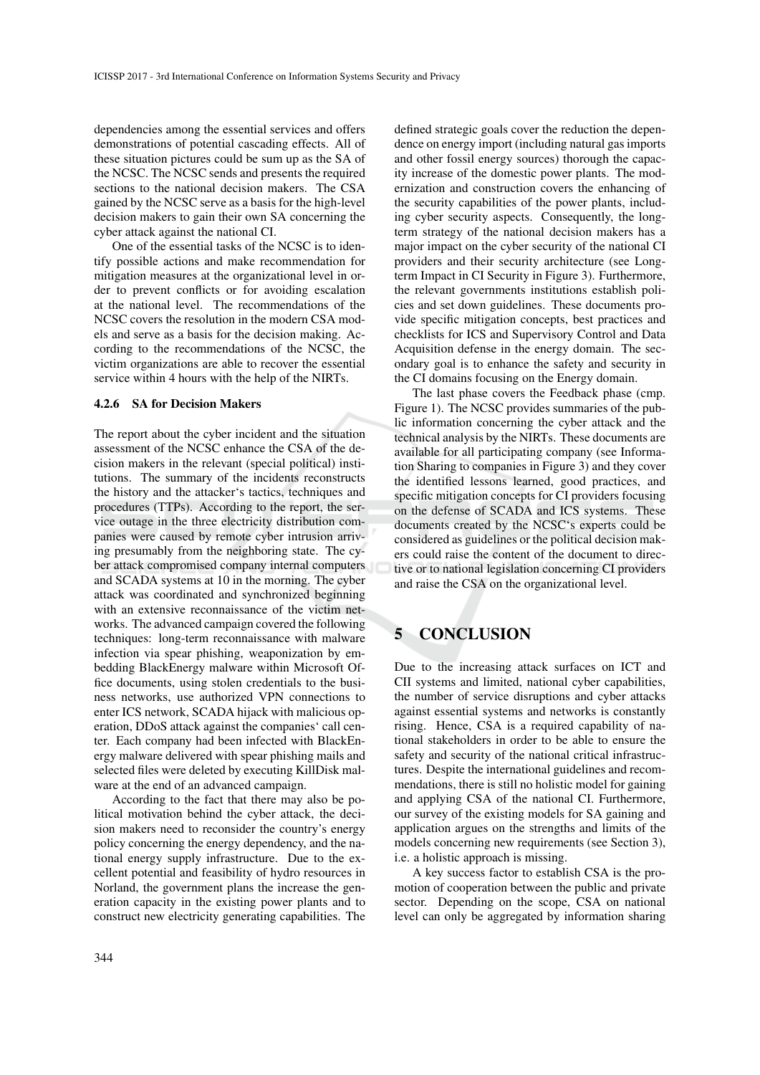dependencies among the essential services and offers demonstrations of potential cascading effects. All of these situation pictures could be sum up as the SA of the NCSC. The NCSC sends and presents the required sections to the national decision makers. The CSA gained by the NCSC serve as a basis for the high-level decision makers to gain their own SA concerning the cyber attack against the national CI.

One of the essential tasks of the NCSC is to identify possible actions and make recommendation for mitigation measures at the organizational level in order to prevent conflicts or for avoiding escalation at the national level. The recommendations of the NCSC covers the resolution in the modern CSA models and serve as a basis for the decision making. According to the recommendations of the NCSC, the victim organizations are able to recover the essential service within 4 hours with the help of the NIRTs.

#### 4.2.6 SA for Decision Makers

The report about the cyber incident and the situation assessment of the NCSC enhance the CSA of the decision makers in the relevant (special political) institutions. The summary of the incidents reconstructs the history and the attacker's tactics, techniques and procedures (TTPs). According to the report, the service outage in the three electricity distribution companies were caused by remote cyber intrusion arriving presumably from the neighboring state. The cyber attack compromised company internal computers and SCADA systems at 10 in the morning. The cyber attack was coordinated and synchronized beginning with an extensive reconnaissance of the victim networks. The advanced campaign covered the following techniques: long-term reconnaissance with malware infection via spear phishing, weaponization by embedding BlackEnergy malware within Microsoft Office documents, using stolen credentials to the business networks, use authorized VPN connections to enter ICS network, SCADA hijack with malicious operation, DDoS attack against the companies' call center. Each company had been infected with BlackEnergy malware delivered with spear phishing mails and selected files were deleted by executing KillDisk malware at the end of an advanced campaign.

According to the fact that there may also be political motivation behind the cyber attack, the decision makers need to reconsider the country's energy policy concerning the energy dependency, and the national energy supply infrastructure. Due to the excellent potential and feasibility of hydro resources in Norland, the government plans the increase the generation capacity in the existing power plants and to construct new electricity generating capabilities. The defined strategic goals cover the reduction the dependence on energy import (including natural gas imports and other fossil energy sources) thorough the capacity increase of the domestic power plants. The modernization and construction covers the enhancing of the security capabilities of the power plants, including cyber security aspects. Consequently, the longterm strategy of the national decision makers has a major impact on the cyber security of the national CI providers and their security architecture (see Longterm Impact in CI Security in Figure 3). Furthermore, the relevant governments institutions establish policies and set down guidelines. These documents provide specific mitigation concepts, best practices and checklists for ICS and Supervisory Control and Data Acquisition defense in the energy domain. The secondary goal is to enhance the safety and security in the CI domains focusing on the Energy domain.

The last phase covers the Feedback phase (cmp. Figure 1). The NCSC provides summaries of the public information concerning the cyber attack and the technical analysis by the NIRTs. These documents are available for all participating company (see Information Sharing to companies in Figure 3) and they cover the identified lessons learned, good practices, and specific mitigation concepts for CI providers focusing on the defense of SCADA and ICS systems. These documents created by the NCSC's experts could be considered as guidelines or the political decision makers could raise the content of the document to directive or to national legislation concerning CI providers and raise the CSA on the organizational level.

# 5 CONCLUSION

Due to the increasing attack surfaces on ICT and CII systems and limited, national cyber capabilities, the number of service disruptions and cyber attacks against essential systems and networks is constantly rising. Hence, CSA is a required capability of national stakeholders in order to be able to ensure the safety and security of the national critical infrastructures. Despite the international guidelines and recommendations, there is still no holistic model for gaining and applying CSA of the national CI. Furthermore, our survey of the existing models for SA gaining and application argues on the strengths and limits of the models concerning new requirements (see Section 3), i.e. a holistic approach is missing.

A key success factor to establish CSA is the promotion of cooperation between the public and private sector. Depending on the scope, CSA on national level can only be aggregated by information sharing